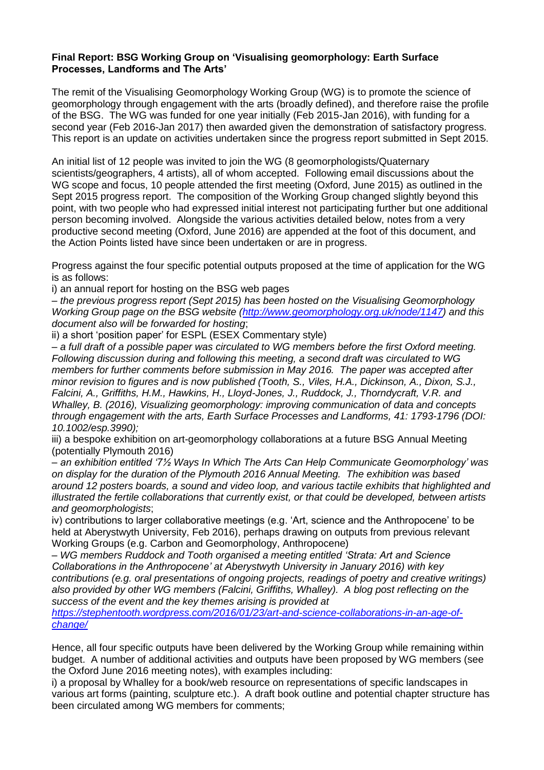#### **Final Report: BSG Working Group on 'Visualising geomorphology: Earth Surface Processes, Landforms and The Arts'**

The remit of the Visualising Geomorphology Working Group (WG) is to promote the science of geomorphology through engagement with the arts (broadly defined), and therefore raise the profile of the BSG. The WG was funded for one year initially (Feb 2015-Jan 2016), with funding for a second year (Feb 2016-Jan 2017) then awarded given the demonstration of satisfactory progress. This report is an update on activities undertaken since the progress report submitted in Sept 2015.

An initial list of 12 people was invited to join the WG (8 geomorphologists/Quaternary scientists/geographers, 4 artists), all of whom accepted. Following email discussions about the WG scope and focus, 10 people attended the first meeting (Oxford, June 2015) as outlined in the Sept 2015 progress report. The composition of the Working Group changed slightly beyond this point, with two people who had expressed initial interest not participating further but one additional person becoming involved. Alongside the various activities detailed below, notes from a very productive second meeting (Oxford, June 2016) are appended at the foot of this document, and the Action Points listed have since been undertaken or are in progress.

Progress against the four specific potential outputs proposed at the time of application for the WG is as follows:

i) an annual report for hosting on the BSG web pages

– *the previous progress report (Sept 2015) has been hosted on the Visualising Geomorphology Working Group page on the BSG website [\(http://www.geomorphology.org.uk/node/1147\)](http://www.geomorphology.org.uk/node/1147) and this document also will be forwarded for hosting*;

ii) a short 'position paper' for ESPL (ESEX Commentary style)

– *a full draft of a possible paper was circulated to WG members before the first Oxford meeting. Following discussion during and following this meeting, a second draft was circulated to WG members for further comments before submission in May 2016. The paper was accepted after minor revision to figures and is now published (Tooth, S., Viles, H.A., Dickinson, A., Dixon, S.J., Falcini, A., Griffiths, H.M., Hawkins, H., Lloyd-Jones, J., Ruddock, J., Thorndycraft, V.R. and Whalley, B. (2016), Visualizing geomorphology: improving communication of data and concepts through engagement with the arts, Earth Surface Processes and Landforms, 41: 1793-1796 (DOI: 10.1002/esp.3990);*

iii) a bespoke exhibition on art-geomorphology collaborations at a future BSG Annual Meeting (potentially Plymouth 2016)

– *an exhibition entitled '7½ Ways In Which The Arts Can Help Communicate Geomorphology' was on display for the duration of the Plymouth 2016 Annual Meeting. The exhibition was based around 12 posters boards, a sound and video loop, and various tactile exhibits that highlighted and illustrated the fertile collaborations that currently exist, or that could be developed, between artists and geomorphologists*;

iv) contributions to larger collaborative meetings (e.g. 'Art, science and the Anthropocene' to be held at Aberystwyth University, Feb 2016), perhaps drawing on outputs from previous relevant Working Groups (e.g. Carbon and Geomorphology, Anthropocene)

– *WG members Ruddock and Tooth organised a meeting entitled 'Strata: Art and Science Collaborations in the Anthropocene' at Aberystwyth University in January 2016) with key contributions (e.g. oral presentations of ongoing projects, readings of poetry and creative writings) also provided by other WG members (Falcini, Griffiths, Whalley). A blog post reflecting on the success of the event and the key themes arising is provided at* 

*[https://stephentooth.wordpress.com/2016/01/23/art-and-science-collaborations-in-an-age-of](https://stephentooth.wordpress.com/2016/01/23/art-and-science-collaborations-in-an-age-of-change/)[change/](https://stephentooth.wordpress.com/2016/01/23/art-and-science-collaborations-in-an-age-of-change/)*

Hence, all four specific outputs have been delivered by the Working Group while remaining within budget. A number of additional activities and outputs have been proposed by WG members (see the Oxford June 2016 meeting notes), with examples including:

i) a proposal by Whalley for a book/web resource on representations of specific landscapes in various art forms (painting, sculpture etc.). A draft book outline and potential chapter structure has been circulated among WG members for comments;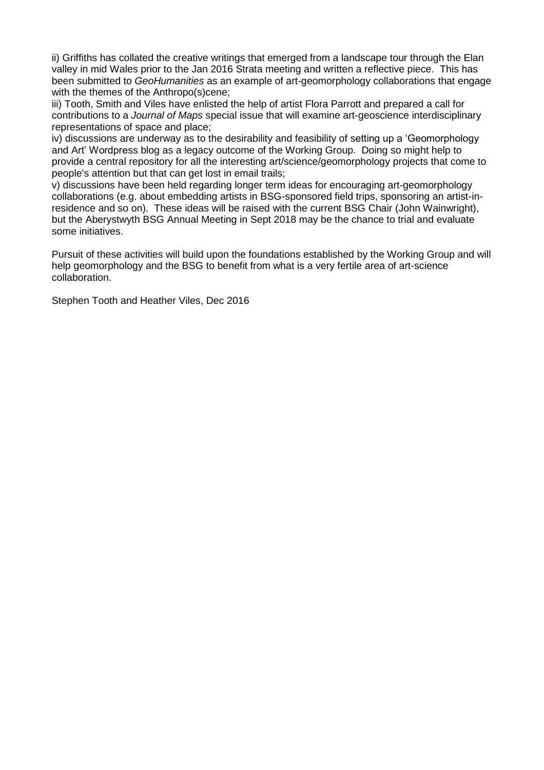ii) Griffiths has collated the creative writings that emerged from a landscape tour through the Elan valley in mid Wales prior to the Jan 2016 Strata meeting and written a reflective piece. This has been submitted to *GeoHumanities* as an example of art-geomorphology collaborations that engage with the themes of the Anthropo(s)cene;

iii) Tooth, Smith and Viles have enlisted the help of artist Flora Parrott and prepared a call for contributions to a *Journal of Maps* special issue that will examine art-geoscience interdisciplinary representations of space and place;

iv) discussions are underway as to the desirability and feasibility of setting up a 'Geomorphology and Art' Wordpress blog as a legacy outcome of the Working Group. Doing so might help to provide a central repository for all the interesting art/science/geomorphology projects that come to people's attention but that can get lost in email trails;

v) discussions have been held regarding longer term ideas for encouraging art-geomorphology collaborations (e.g. about embedding artists in BSG-sponsored field trips, sponsoring an artist-inresidence and so on). These ideas will be raised with the current BSG Chair (John Wainwright), but the Aberystwyth BSG Annual Meeting in Sept 2018 may be the chance to trial and evaluate some initiatives.

Pursuit of these activities will build upon the foundations established by the Working Group and will help geomorphology and the BSG to benefit from what is a very fertile area of art-science collaboration.

Stephen Tooth and Heather Viles, Dec 2016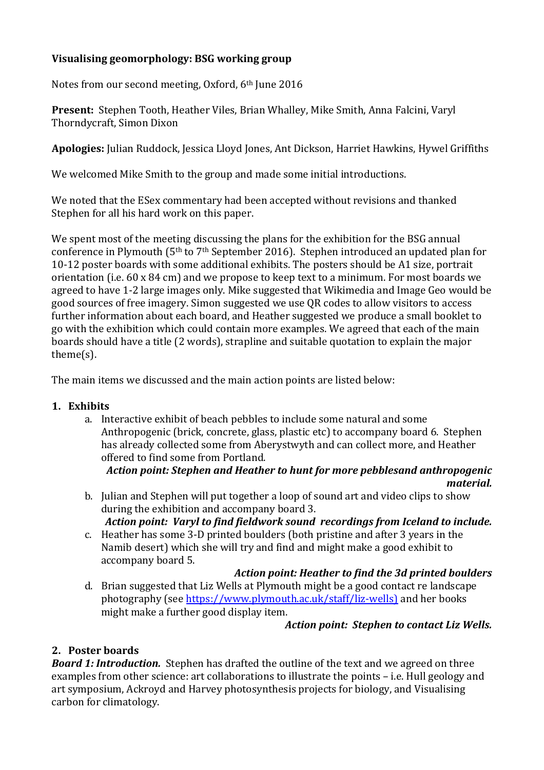## **Visualising geomorphology: BSG working group**

Notes from our second meeting, Oxford, 6th June 2016

**Present:** Stephen Tooth, Heather Viles, Brian Whalley, Mike Smith, Anna Falcini, Varyl Thorndycraft, Simon Dixon

**Apologies:** Julian Ruddock, Jessica Lloyd Jones, Ant Dickson, Harriet Hawkins, Hywel Griffiths

We welcomed Mike Smith to the group and made some initial introductions.

We noted that the ESex commentary had been accepted without revisions and thanked Stephen for all his hard work on this paper.

We spent most of the meeting discussing the plans for the exhibition for the BSG annual conference in Plymouth (5th to 7th September 2016). Stephen introduced an updated plan for 10-12 poster boards with some additional exhibits. The posters should be A1 size, portrait orientation (i.e. 60 x 84 cm) and we propose to keep text to a minimum. For most boards we agreed to have 1-2 large images only. Mike suggested that Wikimedia and Image Geo would be good sources of free imagery. Simon suggested we use QR codes to allow visitors to access further information about each board, and Heather suggested we produce a small booklet to go with the exhibition which could contain more examples. We agreed that each of the main boards should have a title (2 words), strapline and suitable quotation to explain the major theme(s).

The main items we discussed and the main action points are listed below:

### **1. Exhibits**

a. Interactive exhibit of beach pebbles to include some natural and some Anthropogenic (brick, concrete, glass, plastic etc) to accompany board 6. Stephen has already collected some from Aberystwyth and can collect more, and Heather offered to find some from Portland.

#### *Action point: Stephen and Heather to hunt for more pebblesand anthropogenic material.*

- b. Julian and Stephen will put together a loop of sound art and video clips to show during the exhibition and accompany board 3. *Action point: Varyl to find fieldwork sound recordings from Iceland to include.*
- c. Heather has some 3-D printed boulders (both pristine and after 3 years in the Namib desert) which she will try and find and might make a good exhibit to accompany board 5.

### *Action point: Heather to find the 3d printed boulders*

d. Brian suggested that Liz Wells at Plymouth might be a good contact re landscape photography (see [https://www.plymouth.ac.uk/staff/liz-wells\)](https://www.plymouth.ac.uk/staff/liz-wells)) and her books might make a further good display item.

### *Action point: Stephen to contact Liz Wells.*

## **2. Poster boards**

*Board 1: Introduction.* Stephen has drafted the outline of the text and we agreed on three examples from other science: art collaborations to illustrate the points – i.e. Hull geology and art symposium, Ackroyd and Harvey photosynthesis projects for biology, and Visualising carbon for climatology.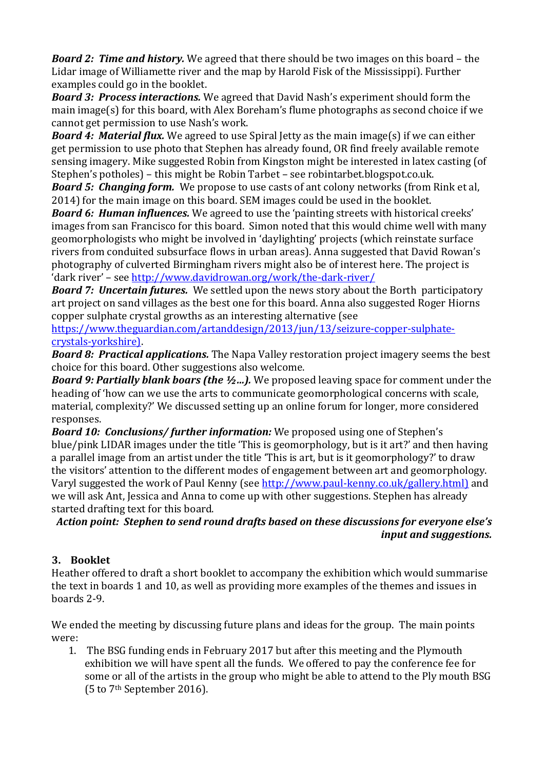*Board 2: Time and history.* We agreed that there should be two images on this board – the Lidar image of Williamette river and the map by Harold Fisk of the Mississippi). Further examples could go in the booklet.

*Board 3: Process interactions.* We agreed that David Nash's experiment should form the main image(s) for this board, with Alex Boreham's flume photographs as second choice if we cannot get permission to use Nash's work.

*Board 4: Material flux.* We agreed to use Spiral Jetty as the main image(s) if we can either get permission to use photo that Stephen has already found, OR find freely available remote sensing imagery. Mike suggested Robin from Kingston might be interested in latex casting (of Stephen's potholes) – this might be Robin Tarbet – see robintarbet.blogspot.co.uk.

*Board 5: Changing form.* We propose to use casts of ant colony networks (from Rink et al, 2014) for the main image on this board. SEM images could be used in the booklet.

**Board 6: Human influences.** We agreed to use the 'painting streets with historical creeks' images from san Francisco for this board. Simon noted that this would chime well with many geomorphologists who might be involved in 'daylighting' projects (which reinstate surface rivers from conduited subsurface flows in urban areas). Anna suggested that David Rowan's photography of culverted Birmingham rivers might also be of interest here. The project is 'dark river' – see<http://www.davidrowan.org/work/the-dark-river/>

*Board 7: Uncertain futures.* We settled upon the news story about the Borth participatory art project on sand villages as the best one for this board. Anna also suggested Roger Hiorns copper sulphate crystal growths as an interesting alternative (see

[https://www.theguardian.com/artanddesign/2013/jun/13/seizure-copper-sulphate](https://www.theguardian.com/artanddesign/2013/jun/13/seizure-copper-sulphate-crystals-yorkshire))[crystals-yorkshire\).](https://www.theguardian.com/artanddesign/2013/jun/13/seizure-copper-sulphate-crystals-yorkshire)) 

*Board 8: Practical applications.* The Napa Valley restoration project imagery seems the best choice for this board. Other suggestions also welcome.

*Board 9: Partially blank boars (the ½…).* We proposed leaving space for comment under the heading of 'how can we use the arts to communicate geomorphological concerns with scale, material, complexity?' We discussed setting up an online forum for longer, more considered responses.

*Board 10: Conclusions/ further information:* We proposed using one of Stephen's blue/pink LIDAR images under the title 'This is geomorphology, but is it art?' and then having a parallel image from an artist under the title 'This is art, but is it geomorphology?' to draw the visitors' attention to the different modes of engagement between art and geomorphology. Varyl suggested the work of Paul Kenny (see [http://www.paul-kenny.co.uk/gallery.html\)](http://www.paul-kenny.co.uk/gallery.html)) and we will ask Ant, Jessica and Anna to come up with other suggestions. Stephen has already started drafting text for this board.

*Action point: Stephen to send round drafts based on these discussions for everyone else's input and suggestions.*

# **3. Booklet**

Heather offered to draft a short booklet to accompany the exhibition which would summarise the text in boards 1 and 10, as well as providing more examples of the themes and issues in boards 2-9.

We ended the meeting by discussing future plans and ideas for the group. The main points were:

1. The BSG funding ends in February 2017 but after this meeting and the Plymouth exhibition we will have spent all the funds. We offered to pay the conference fee for some or all of the artists in the group who might be able to attend to the Ply mouth BSG (5 to 7th September 2016).